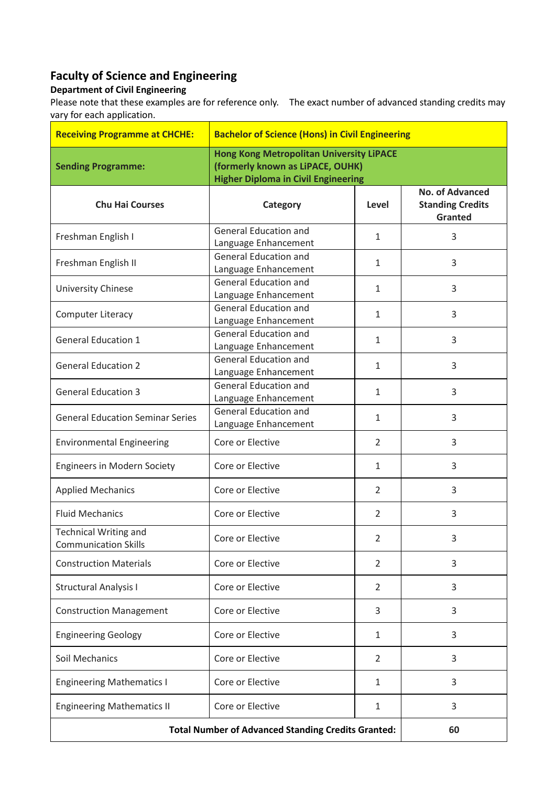## **Faculty of Science and Engineering**

## **Department of Civil Engineering**

Please note that these examples are for reference only. The exact number of advanced standing credits may vary for each application.

| <b>Receiving Programme at CHCHE:</b>                        | <b>Bachelor of Science (Hons) in Civil Engineering</b>                              |                |                                                                     |
|-------------------------------------------------------------|-------------------------------------------------------------------------------------|----------------|---------------------------------------------------------------------|
| <b>Sending Programme:</b>                                   | <b>Hong Kong Metropolitan University LiPACE</b><br>(formerly known as LiPACE, OUHK) |                |                                                                     |
|                                                             | <b>Higher Diploma in Civil Engineering</b>                                          |                |                                                                     |
| <b>Chu Hai Courses</b>                                      | Category                                                                            | Level          | <b>No. of Advanced</b><br><b>Standing Credits</b><br><b>Granted</b> |
| Freshman English I                                          | <b>General Education and</b><br>Language Enhancement                                | $\mathbf{1}$   | 3                                                                   |
| Freshman English II                                         | <b>General Education and</b><br>Language Enhancement                                | 1              | 3                                                                   |
| University Chinese                                          | <b>General Education and</b><br>Language Enhancement                                | $\mathbf{1}$   | 3                                                                   |
| <b>Computer Literacy</b>                                    | <b>General Education and</b><br>Language Enhancement                                | $\mathbf{1}$   | 3                                                                   |
| <b>General Education 1</b>                                  | <b>General Education and</b><br>Language Enhancement                                | $\mathbf{1}$   | 3                                                                   |
| <b>General Education 2</b>                                  | <b>General Education and</b><br>Language Enhancement                                | $\mathbf{1}$   | 3                                                                   |
| <b>General Education 3</b>                                  | <b>General Education and</b><br>Language Enhancement                                | $\mathbf{1}$   | 3                                                                   |
| <b>General Education Seminar Series</b>                     | <b>General Education and</b><br>Language Enhancement                                | $\mathbf{1}$   | 3                                                                   |
| <b>Environmental Engineering</b>                            | Core or Elective                                                                    | 2              | 3                                                                   |
| <b>Engineers in Modern Society</b>                          | Core or Elective                                                                    | $\mathbf{1}$   | 3                                                                   |
| <b>Applied Mechanics</b>                                    | Core or Elective                                                                    | $\overline{2}$ | 3                                                                   |
| <b>Fluid Mechanics</b>                                      | Core or Elective                                                                    | $\overline{2}$ | 3                                                                   |
| <b>Technical Writing and</b><br><b>Communication Skills</b> | Core or Elective                                                                    | $\overline{2}$ | 3                                                                   |
| <b>Construction Materials</b>                               | Core or Elective                                                                    | $\overline{2}$ | 3                                                                   |
| <b>Structural Analysis I</b>                                | Core or Elective                                                                    | 2              | 3                                                                   |
| <b>Construction Management</b>                              | Core or Elective                                                                    | 3              | 3                                                                   |
| <b>Engineering Geology</b>                                  | Core or Elective                                                                    | $\mathbf{1}$   | 3                                                                   |
| Soil Mechanics                                              | Core or Elective                                                                    | $\overline{2}$ | 3                                                                   |
| <b>Engineering Mathematics I</b>                            | Core or Elective                                                                    | 1              | 3                                                                   |
| <b>Engineering Mathematics II</b>                           | Core or Elective                                                                    | $\mathbf{1}$   | 3                                                                   |
| <b>Total Number of Advanced Standing Credits Granted:</b>   |                                                                                     |                | 60                                                                  |